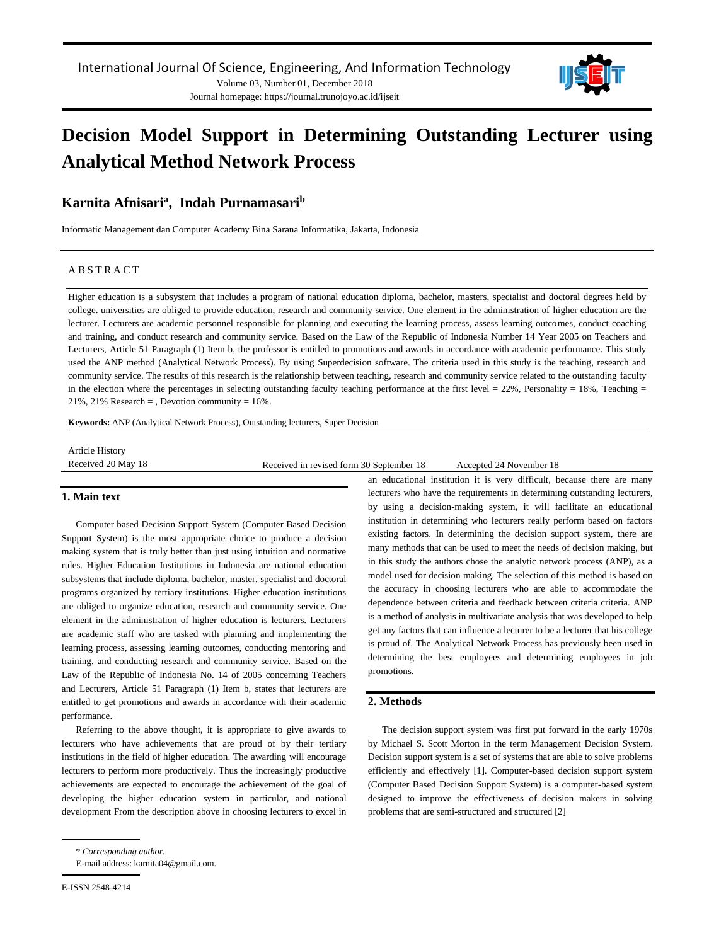Journal homepage: https://journal.trunojoyo.ac.id/ijseit



# **Decision Model Support in Determining Outstanding Lecturer using Analytical Method Network Process**

# **Karnita Afnisari<sup>a</sup> , Indah Purnamasari<sup>b</sup>**

Informatic Management dan Computer Academy Bina Sarana Informatika, Jakarta, Indonesia

# A B S T R A C T

Higher education is a subsystem that includes a program of national education diploma, bachelor, masters, specialist and doctoral degrees held by college. universities are obliged to provide education, research and community service. One element in the administration of higher education are the lecturer. Lecturers are academic personnel responsible for planning and executing the learning process, assess learning outcomes, conduct coaching and training, and conduct research and community service. Based on the Law of the Republic of Indonesia Number 14 Year 2005 on Teachers and Lecturers, Article 51 Paragraph (1) Item b, the professor is entitled to promotions and awards in accordance with academic performance. This study used the ANP method (Analytical Network Process). By using Superdecision software. The criteria used in this study is the teaching, research and community service. The results of this research is the relationship between teaching, research and community service related to the outstanding faculty in the election where the percentages in selecting outstanding faculty teaching performance at the first level = 22%, Personality = 18%, Teaching = 21%, 21% Research = , Devotion community =  $16\%$ .

**Keywords:** ANP (Analytical Network Process), Outstanding lecturers, Super Decision

Article History

Received 20 May 18 Received in revised form 30 September 18 Accepted 24 November 18

#### **1. Main text**

Computer based Decision Support System (Computer Based Decision Support System) is the most appropriate choice to produce a decision making system that is truly better than just using intuition and normative rules. Higher Education Institutions in Indonesia are national education subsystems that include diploma, bachelor, master, specialist and doctoral programs organized by tertiary institutions. Higher education institutions are obliged to organize education, research and community service. One element in the administration of higher education is lecturers. Lecturers are academic staff who are tasked with planning and implementing the learning process, assessing learning outcomes, conducting mentoring and training, and conducting research and community service. Based on the Law of the Republic of Indonesia No. 14 of 2005 concerning Teachers and Lecturers, Article 51 Paragraph (1) Item b, states that lecturers are entitled to get promotions and awards in accordance with their academic performance.

Referring to the above thought, it is appropriate to give awards to lecturers who have achievements that are proud of by their tertiary institutions in the field of higher education. The awarding will encourage lecturers to perform more productively. Thus the increasingly productive achievements are expected to encourage the achievement of the goal of developing the higher education system in particular, and national development From the description above in choosing lecturers to excel in an educational institution it is very difficult, because there are many lecturers who have the requirements in determining outstanding lecturers, by using a decision-making system, it will facilitate an educational institution in determining who lecturers really perform based on factors existing factors. In determining the decision support system, there are many methods that can be used to meet the needs of decision making, but in this study the authors chose the analytic network process (ANP), as a model used for decision making. The selection of this method is based on the accuracy in choosing lecturers who are able to accommodate the dependence between criteria and feedback between criteria criteria. ANP is a method of analysis in multivariate analysis that was developed to help get any factors that can influence a lecturer to be a lecturer that his college is proud of. The Analytical Network Process has previously been used in determining the best employees and determining employees in job promotions.

# **2. Methods**

The decision support system was first put forward in the early 1970s by Michael S. Scott Morton in the term Management Decision System. Decision support system is a set of systems that are able to solve problems efficiently and effectively [1]. Computer-based decision support system (Computer Based Decision Support System) is a computer-based system designed to improve the effectiveness of decision makers in solving problems that are semi-structured and structured [2]

<sup>\*</sup> *Corresponding author.*

E-mail address: karnita04@gmail.com.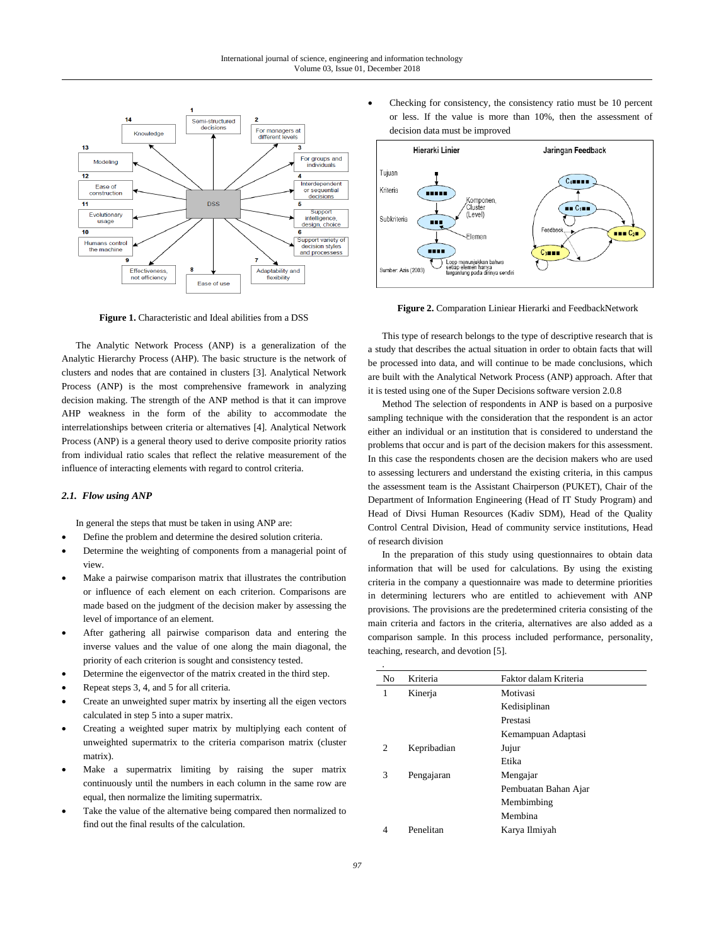

**Figure 1.** Characteristic and Ideal abilities from a DSS

The Analytic Network Process (ANP) is a generalization of the Analytic Hierarchy Process (AHP). The basic structure is the network of clusters and nodes that are contained in clusters [3]. Analytical Network Process (ANP) is the most comprehensive framework in analyzing decision making. The strength of the ANP method is that it can improve AHP weakness in the form of the ability to accommodate the interrelationships between criteria or alternatives [4]. Analytical Network Process (ANP) is a general theory used to derive composite priority ratios from individual ratio scales that reflect the relative measurement of the influence of interacting elements with regard to control criteria.

#### *2.1. Flow using ANP*

In general the steps that must be taken in using ANP are:

- Define the problem and determine the desired solution criteria.
- Determine the weighting of components from a managerial point of view.
- Make a pairwise comparison matrix that illustrates the contribution or influence of each element on each criterion. Comparisons are made based on the judgment of the decision maker by assessing the level of importance of an element.
- After gathering all pairwise comparison data and entering the inverse values and the value of one along the main diagonal, the priority of each criterion is sought and consistency tested.
- Determine the eigenvector of the matrix created in the third step.
- Repeat steps 3, 4, and 5 for all criteria.
- Create an unweighted super matrix by inserting all the eigen vectors calculated in step 5 into a super matrix.
- Creating a weighted super matrix by multiplying each content of unweighted supermatrix to the criteria comparison matrix (cluster matrix).
- Make a supermatrix limiting by raising the super matrix continuously until the numbers in each column in the same row are equal, then normalize the limiting supermatrix.
- Take the value of the alternative being compared then normalized to find out the final results of the calculation.

• Checking for consistency, the consistency ratio must be 10 percent or less. If the value is more than 10%, then the assessment of decision data must be improved



Figure 2. Comparation Liniear Hierarki and FeedbackNetwork

This type of research belongs to the type of descriptive research that is a study that describes the actual situation in order to obtain facts that will be processed into data, and will continue to be made conclusions, which are built with the Analytical Network Process (ANP) approach. After that it is tested using one of the Super Decisions software version 2.0.8

Method The selection of respondents in ANP is based on a purposive sampling technique with the consideration that the respondent is an actor either an individual or an institution that is considered to understand the problems that occur and is part of the decision makers for this assessment. In this case the respondents chosen are the decision makers who are used to assessing lecturers and understand the existing criteria, in this campus the assessment team is the Assistant Chairperson (PUKET), Chair of the Department of Information Engineering (Head of IT Study Program) and Head of Divsi Human Resources (Kadiv SDM), Head of the Quality Control Central Division, Head of community service institutions, Head of research division

In the preparation of this study using questionnaires to obtain data information that will be used for calculations. By using the existing criteria in the company a questionnaire was made to determine priorities in determining lecturers who are entitled to achievement with ANP provisions. The provisions are the predetermined criteria consisting of the main criteria and factors in the criteria, alternatives are also added as a comparison sample. In this process included performance, personality, teaching, research, and devotion [5].

| No | Kriteria    | Faktor dalam Kriteria |  |
|----|-------------|-----------------------|--|
| 1  | Kinerja     | Motivasi              |  |
|    |             | Kedisiplinan          |  |
|    |             | Prestasi              |  |
|    |             | Kemampuan Adaptasi    |  |
| 2  | Kepribadian | Jujur                 |  |
|    |             | Etika                 |  |
| 3  | Pengajaran  | Mengajar              |  |
|    |             | Pembuatan Bahan Ajar  |  |
|    |             | Membimbing            |  |
|    |             | Membina               |  |
| 4  | Penelitan   | Karya Ilmiyah         |  |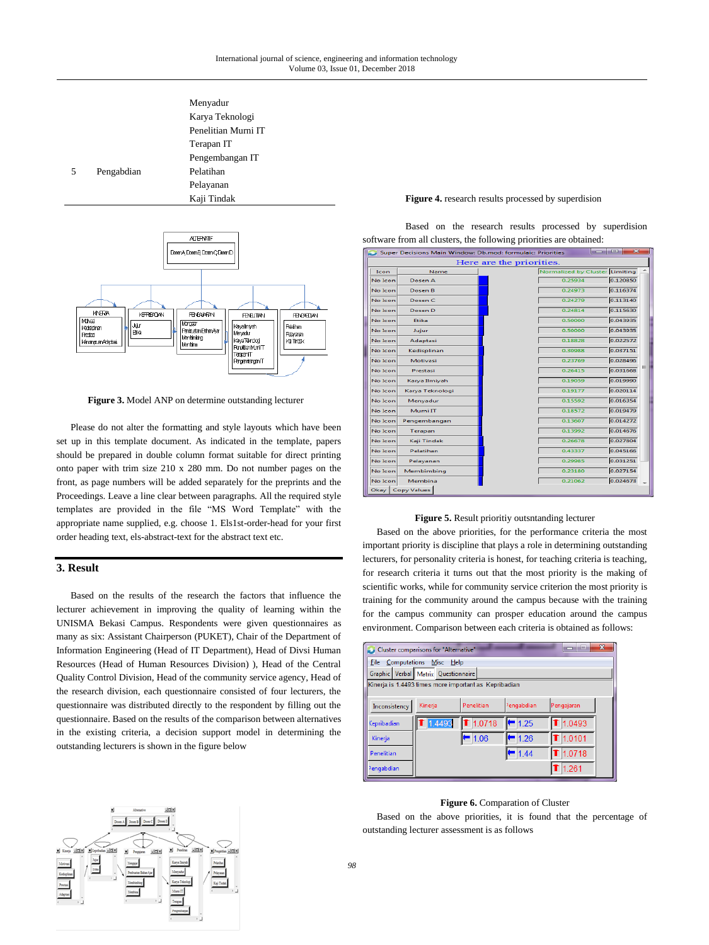



**Figure 3.** Model ANP on determine outstanding lecturer

Please do not alter the formatting and style layouts which have been set up in this template document. As indicated in the template, papers should be prepared in double column format suitable for direct printing onto paper with trim size 210 x 280 mm. Do not number pages on the front, as page numbers will be added separately for the preprints and the Proceedings. Leave a line clear between paragraphs. All the required style templates are provided in the file "MS Word Template" with the appropriate name supplied, e.g. choose 1. Els1st-order-head for your first order heading text, els-abstract-text for the abstract text etc.

## **3. Result**

Based on the results of the research the factors that influence the lecturer achievement in improving the quality of learning within the UNISMA Bekasi Campus. Respondents were given questionnaires as many as six: Assistant Chairperson (PUKET), Chair of the Department of Information Engineering (Head of IT Department), Head of Divsi Human Resources (Head of Human Resources Division) ), Head of the Central Quality Control Division, Head of the community service agency, Head of the research division, each questionnaire consisted of four lecturers, the questionnaire was distributed directly to the respondent by filling out the questionnaire. Based on the results of the comparison between alternatives in the existing criteria, a decision support model in determining the outstanding lecturers is shown in the figure below

#### **Figure 4.** research results processed by superdision

Based on the research results processed by superdision software from all clusters, the following priorities are obtained:

| Super Decisions Main Window: Db.mod: formulaic: Priorities<br>____ |                 |                                |          |  |  |  |  |  |  |
|--------------------------------------------------------------------|-----------------|--------------------------------|----------|--|--|--|--|--|--|
| Here are the priorities.                                           |                 |                                |          |  |  |  |  |  |  |
| Icon                                                               | Name            | Normalized by Cluster Limiting |          |  |  |  |  |  |  |
| No Icon                                                            | Dosen A         | 0.25934                        | 0.120850 |  |  |  |  |  |  |
| No Icon                                                            | Dosen B         | 0.24973                        | 0.116374 |  |  |  |  |  |  |
| No Icon                                                            | Dosen C         | 0.24279                        | 0.113140 |  |  |  |  |  |  |
| No Icon                                                            | Dosen D         | 0.24814                        | 0.115630 |  |  |  |  |  |  |
| No Icon                                                            | Etika           | 0.50000                        | 0.043935 |  |  |  |  |  |  |
| No Icon                                                            | Jujur           | 0.50000                        | 0.043935 |  |  |  |  |  |  |
| No Icon                                                            | Adaptasi        | 0.18828                        | 0.022572 |  |  |  |  |  |  |
| No Icon                                                            | Kedisplinan     | 0.30988                        | 0.037151 |  |  |  |  |  |  |
| No Icon                                                            | Motivasi        | 0.23769                        | 0.028496 |  |  |  |  |  |  |
| No Icon                                                            | Prestasi        | 0.26415                        | 0.031668 |  |  |  |  |  |  |
| No Icon                                                            | Karya Ilmiyah   | 0.19059                        | 0.019990 |  |  |  |  |  |  |
| No Icon                                                            | Karya Teknologi | 0.19177                        | 0.020114 |  |  |  |  |  |  |
| No Icon                                                            | Menyadur        | 0.15592                        | 0.016354 |  |  |  |  |  |  |
| No Icon                                                            | Murni IT        | 0.18572                        | 0.019479 |  |  |  |  |  |  |
| No Icon                                                            | Pengembangan    | 0.13607                        | 0.014272 |  |  |  |  |  |  |
| No Icon                                                            | Terapan         | 0.13992                        | 0.014676 |  |  |  |  |  |  |
| No Icon                                                            | Kaji Tindak     | 0.26678                        | 0.027804 |  |  |  |  |  |  |
| No Icon                                                            | Pelatihan       | 0.43337                        | 0.045166 |  |  |  |  |  |  |
| No Icon                                                            | Pelayanan       | 0.29985                        | 0.031251 |  |  |  |  |  |  |
| No Icon                                                            | Membimbing      | 0.23180                        | 0.027154 |  |  |  |  |  |  |
| No Icon                                                            | Membina         | 0.21062                        | 0.024673 |  |  |  |  |  |  |
| Okay Copy Values                                                   |                 |                                |          |  |  |  |  |  |  |

# **Figure 5.** Result prioritiy outsntanding lecturer

Based on the above priorities, for the performance criteria the most important priority is discipline that plays a role in determining outstanding lecturers, for personality criteria is honest, for teaching criteria is teaching, for research criteria it turns out that the most priority is the making of scientific works, while for community service criterion the most priority is training for the community around the campus because with the training for the campus community can prosper education around the campus environment. Comparison between each criteria is obtained as follows:

| $\mathbf{x}$<br>ain.<br>Cluster comparisons for "Alternative" |         |            |                        |                 |  |  |  |  |  |
|---------------------------------------------------------------|---------|------------|------------------------|-----------------|--|--|--|--|--|
| <b>File</b><br>Computations Misc Help                         |         |            |                        |                 |  |  |  |  |  |
| Graphic Verbal Matrix Questionnaire                           |         |            |                        |                 |  |  |  |  |  |
| Kinerja is 1.4493 times more important as Kepribadian         |         |            |                        |                 |  |  |  |  |  |
|                                                               |         |            |                        |                 |  |  |  |  |  |
| Inconsistency                                                 | Kinerja | Penelitian | <sup>2</sup> engabdian | Pengajaran      |  |  |  |  |  |
| Kepribadian                                                   | 1.4493  | 1.0718     | $= 1.25$               | $\Gamma$ 1.0493 |  |  |  |  |  |
| Kinerja                                                       |         | 1.06       | $-1.26$                | $\Gamma$ 1.0101 |  |  |  |  |  |
| Penelitian                                                    |         |            | 1.44                   | $\Gamma$ 1.0718 |  |  |  |  |  |
| <sup>2</sup> engabdian                                        |         |            |                        | ੈ 1.261         |  |  |  |  |  |

#### **Figure 6.** Comparation of Cluster

Based on the above priorities, it is found that the percentage of outstanding lecturer assessment is as follows

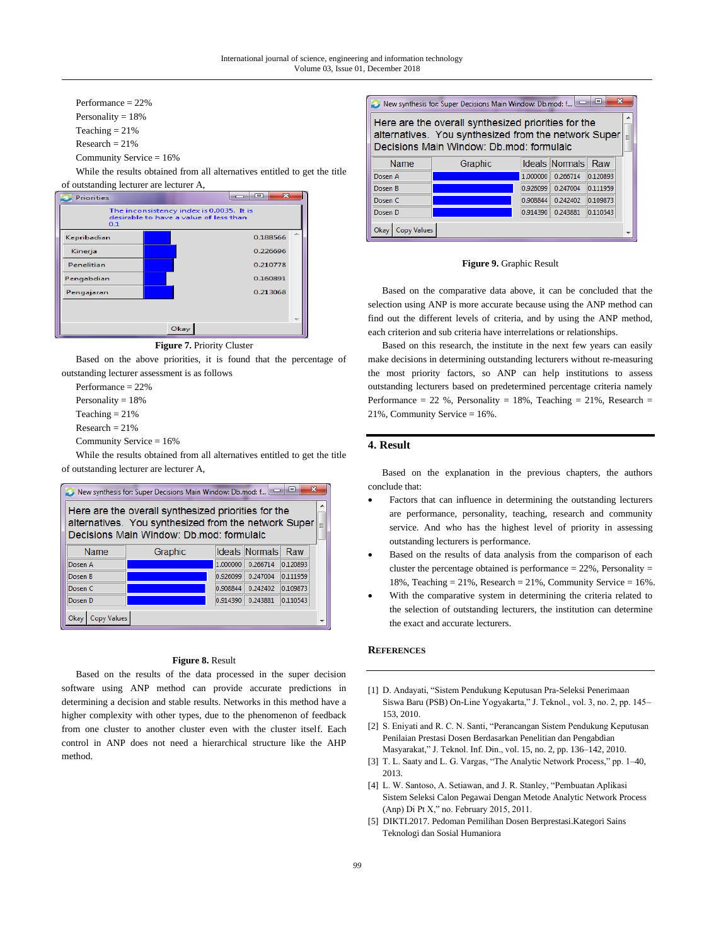Performance = 22% Personality  $= 18%$ Teaching  $= 21%$  $Research = 21%$ Community Service = 16%

While the results obtained from all alternatives entitled to get the title of outstanding lecturer are lecturer A,



**Figure 7.** Priority Cluster

Based on the above priorities, it is found that the percentage of outstanding lecturer assessment is as follows

Performance = 22%

Personality  $= 18%$ 

Teaching  $= 21%$ 

 $Research = 21%$ 

Community Service = 16%

While the results obtained from all alternatives entitled to get the title of outstanding lecturer are lecturer A,



#### **Figure 8.** Result

Based on the results of the data processed in the super decision software using ANP method can provide accurate predictions in determining a decision and stable results. Networks in this method have a higher complexity with other types, due to the phenomenon of feedback from one cluster to another cluster even with the cluster itself. Each control in ANP does not need a hierarchical structure like the AHP method.





Based on the comparative data above, it can be concluded that the selection using ANP is more accurate because using the ANP method can find out the different levels of criteria, and by using the ANP method, each criterion and sub criteria have interrelations or relationships.

Based on this research, the institute in the next few years can easily make decisions in determining outstanding lecturers without re-measuring the most priority factors, so ANP can help institutions to assess outstanding lecturers based on predetermined percentage criteria namely Performance = 22 %, Personality = 18%, Teaching = 21%, Research = 21%, Community Service = 16%.

# **4. Result**

Based on the explanation in the previous chapters, the authors conclude that:

- Factors that can influence in determining the outstanding lecturers are performance, personality, teaching, research and community service. And who has the highest level of priority in assessing outstanding lecturers is performance.
- Based on the results of data analysis from the comparison of each cluster the percentage obtained is performance  $= 22\%$ , Personality  $=$ 18%, Teaching =  $21\%$ , Research =  $21\%$ , Community Service =  $16\%$ .
- With the comparative system in determining the criteria related to the selection of outstanding lecturers, the institution can determine the exact and accurate lecturers.

## **REFERENCES**

- [1] D. Andayati, "Sistem Pendukung Keputusan Pra-Seleksi Penerimaan Siswa Baru (PSB) On-Line Yogyakarta," J. Teknol., vol. 3, no. 2, pp. 145– 153, 2010.
- [2] S. Eniyati and R. C. N. Santi, "Perancangan Sistem Pendukung Keputusan Penilaian Prestasi Dosen Berdasarkan Penelitian dan Pengabdian Masyarakat," J. Teknol. Inf. Din., vol. 15, no. 2, pp. 136–142, 2010.
- [3] T. L. Saaty and L. G. Vargas, "The Analytic Network Process," pp. 1–40, 2013.
- [4] L. W. Santoso, A. Setiawan, and J. R. Stanley, "Pembuatan Aplikasi Sistem Seleksi Calon Pegawai Dengan Metode Analytic Network Process (Anp) Di Pt X," no. February 2015, 2011.
- [5] DIKTI.2017. Pedoman Pemilihan Dosen Berprestasi.Kategori Sains Teknologi dan Sosial Humaniora